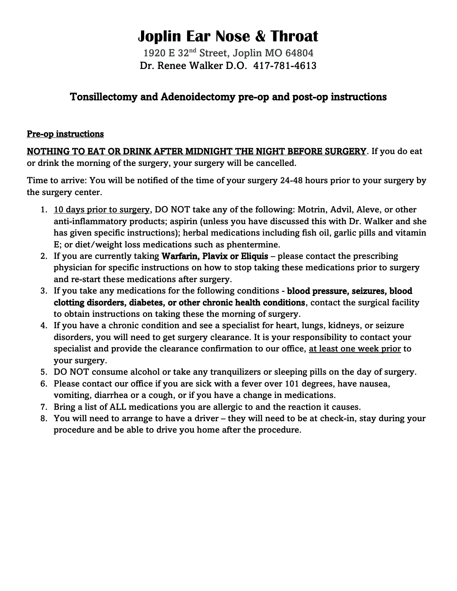# **Joplin Ear Nose & Throat**

1920 E 32nd Street, Joplin MO 64804 Dr. Renee Walker D.O. 417-781-4613

## Tonsillectomy and Adenoidectomy pre-op and post-op instructions

#### Pre-op instructions

NOTHING TO EAT OR DRINK AFTER MIDNIGHT THE NIGHT BEFORE SURGERY. If you do eat or drink the morning of the surgery, your surgery will be cancelled.

Time to arrive: You will be notified of the time of your surgery 24-48 hours prior to your surgery by the surgery center.

- 1. 10 days prior to surgery, DO NOT take any of the following: Motrin, Advil, Aleve, or other anti-inflammatory products; aspirin (unless you have discussed this with Dr. Walker and she has given specific instructions); herbal medications including fish oil, garlic pills and vitamin E; or diet/weight loss medications such as phentermine.
- 2. If you are currently taking **Warfarin, Plavix or Eliquis** please contact the prescribing physician for specific instructions on how to stop taking these medications prior to surgery and re-start these medications after surgery.
- 3. If you take any medications for the following conditions blood pressure, seizures, blood clotting disorders, diabetes, or other chronic health conditions, contact the surgical facility to obtain instructions on taking these the morning of surgery.
- 4. If you have a chronic condition and see a specialist for heart, lungs, kidneys, or seizure disorders, you will need to get surgery clearance. It is your responsibility to contact your specialist and provide the clearance confirmation to our office, at least one week prior to your surgery.
- 5. DO NOT consume alcohol or take any tranquilizers or sleeping pills on the day of surgery.
- 6. Please contact our office if you are sick with a fever over 101 degrees, have nausea, vomiting, diarrhea or a cough, or if you have a change in medications.
- 7. Bring a list of ALL medications you are allergic to and the reaction it causes.
- 8. You will need to arrange to have a driver they will need to be at check-in, stay during your procedure and be able to drive you home after the procedure.